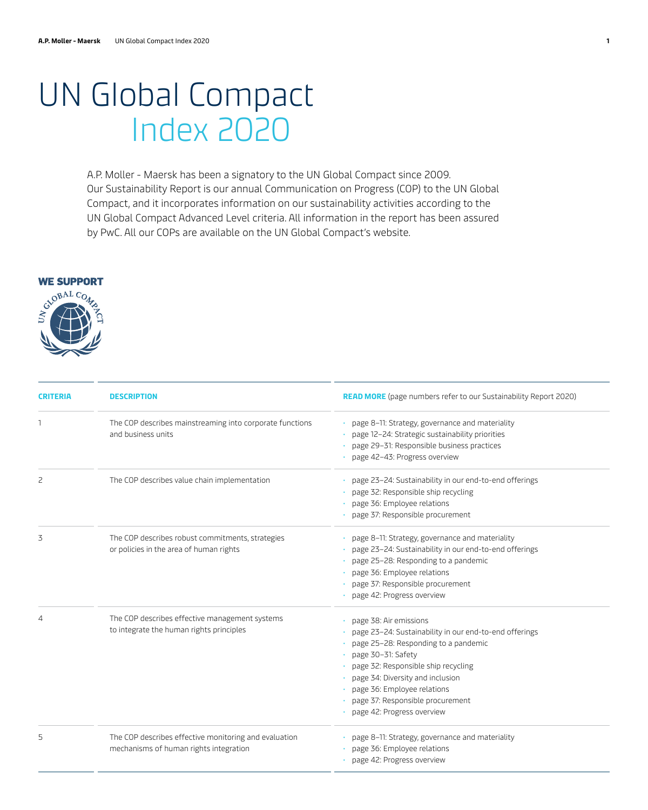## UN Global Compact Index 2020

A.P. Moller - Maersk has been a signatory to the UN Global Compact since 2009. Our Sustainability Report is our annual Communication on Progress (COP) to the UN Global Compact, and it incorporates information on our sustainability activities according to the UN Global Compact Advanced Level criteria. All information in the report has been assured by PwC. All our COPs are available on the UN Global Compact's website.

## **WE SUPPORT**



| <b>CRITERIA</b> | <b>DESCRIPTION</b>                                                                              | <b>READ MORE</b> (page numbers refer to our Sustainability Report 2020)                                                                                                                                                                                                                                                      |
|-----------------|-------------------------------------------------------------------------------------------------|------------------------------------------------------------------------------------------------------------------------------------------------------------------------------------------------------------------------------------------------------------------------------------------------------------------------------|
|                 | The COP describes mainstreaming into corporate functions<br>and business units                  | · page 8-11: Strategy, governance and materiality<br>page 12-24: Strategic sustainability priorities<br>page 29-31: Responsible business practices<br>page 42-43: Progress overview                                                                                                                                          |
| 2               | The COP describes value chain implementation                                                    | · page 23-24: Sustainability in our end-to-end offerings<br>page 32: Responsible ship recycling<br>page 36: Employee relations<br>page 37: Responsible procurement                                                                                                                                                           |
| 3               | The COP describes robust commitments, strategies<br>or policies in the area of human rights     | • page 8-11: Strategy, governance and materiality<br>page 23-24: Sustainability in our end-to-end offerings<br>page 25-28: Responding to a pandemic<br>page 36: Employee relations<br>page 37: Responsible procurement<br>page 42: Progress overview                                                                         |
| 4               | The COP describes effective management systems<br>to integrate the human rights principles      | · page 38: Air emissions<br>page 23-24: Sustainability in our end-to-end offerings<br>page 25-28: Responding to a pandemic<br>page 30-31: Safety<br>page 32: Responsible ship recycling<br>page 34: Diversity and inclusion<br>page 36: Employee relations<br>page 37: Responsible procurement<br>page 42: Progress overview |
| 5               | The COP describes effective monitoring and evaluation<br>mechanisms of human rights integration | · page 8-11: Strategy, governance and materiality<br>page 36: Employee relations<br>· page 42: Progress overview                                                                                                                                                                                                             |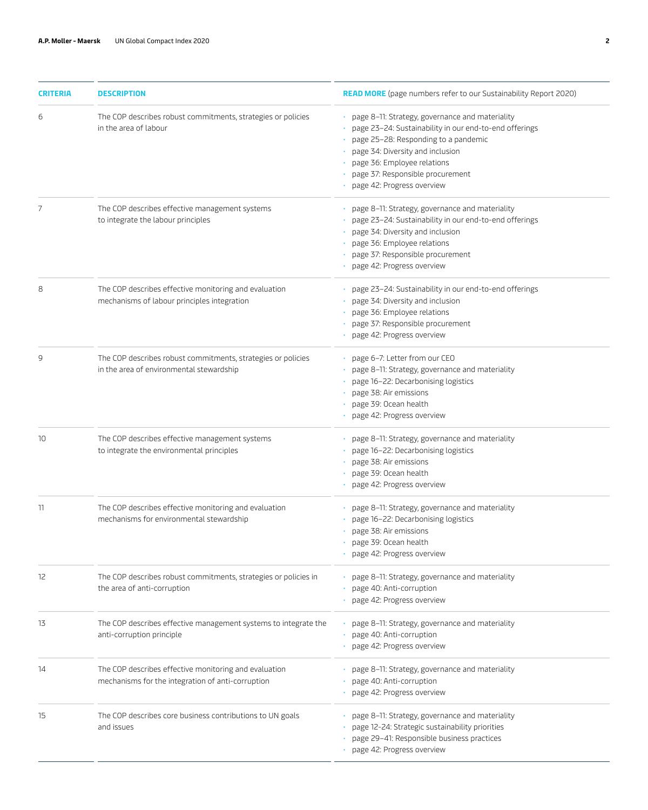| <b>CRITERIA</b> | <b>DESCRIPTION</b>                                                                                         | <b>READ MORE</b> (page numbers refer to our Sustainability Report 2020)                                                                                                                                                                                                                  |
|-----------------|------------------------------------------------------------------------------------------------------------|------------------------------------------------------------------------------------------------------------------------------------------------------------------------------------------------------------------------------------------------------------------------------------------|
| 6               | The COP describes robust commitments, strategies or policies<br>in the area of labour                      | · page 8-11: Strategy, governance and materiality<br>page 23-24: Sustainability in our end-to-end offerings<br>page 25-28: Responding to a pandemic<br>page 34: Diversity and inclusion<br>page 36: Employee relations<br>page 37: Responsible procurement<br>page 42: Progress overview |
| 7               | The COP describes effective management systems<br>to integrate the labour principles                       | · page 8-11: Strategy, governance and materiality<br>page 23-24: Sustainability in our end-to-end offerings<br>page 34: Diversity and inclusion<br>page 36: Employee relations<br>page 37: Responsible procurement<br>page 42: Progress overview                                         |
| 8               | The COP describes effective monitoring and evaluation<br>mechanisms of labour principles integration       | · page 23-24: Sustainability in our end-to-end offerings<br>page 34: Diversity and inclusion<br>page 36: Employee relations<br>page 37: Responsible procurement<br>page 42: Progress overview                                                                                            |
| 9               | The COP describes robust commitments, strategies or policies<br>in the area of environmental stewardship   | · page 6-7: Letter from our CEO<br>page 8-11: Strategy, governance and materiality<br>page 16-22: Decarbonising logistics<br>page 38: Air emissions<br>page 39: Ocean health<br>page 42: Progress overview                                                                               |
| 10              | The COP describes effective management systems<br>to integrate the environmental principles                | · page 8-11: Strategy, governance and materiality<br>page 16-22: Decarbonising logistics<br>page 38: Air emissions<br>page 39: Ocean health<br>page 42: Progress overview                                                                                                                |
| 11              | The COP describes effective monitoring and evaluation<br>mechanisms for environmental stewardship          | · page 8-11: Strategy, governance and materiality<br>page 16-22: Decarbonising logistics<br>page 38: Air emissions<br>· page 39: Ocean health<br>page 42: Progress overview                                                                                                              |
| 12              | The COP describes robust commitments, strategies or policies in<br>the area of anti-corruption             | · page 8-11: Strategy, governance and materiality<br>• page 40: Anti-corruption<br>· page 42: Progress overview                                                                                                                                                                          |
| 13              | The COP describes effective management systems to integrate the<br>anti-corruption principle               | · page 8-11: Strategy, governance and materiality<br>page 40: Anti-corruption<br>page 42: Progress overview                                                                                                                                                                              |
| 14              | The COP describes effective monitoring and evaluation<br>mechanisms for the integration of anti-corruption | · page 8-11: Strategy, governance and materiality<br>page 40: Anti-corruption<br>page 42: Progress overview                                                                                                                                                                              |
| 15              | The COP describes core business contributions to UN goals<br>and issues                                    | · page 8-11: Strategy, governance and materiality<br>page 12-24: Strategic sustainability priorities<br>page 29-41: Responsible business practices<br>page 42: Progress overview                                                                                                         |